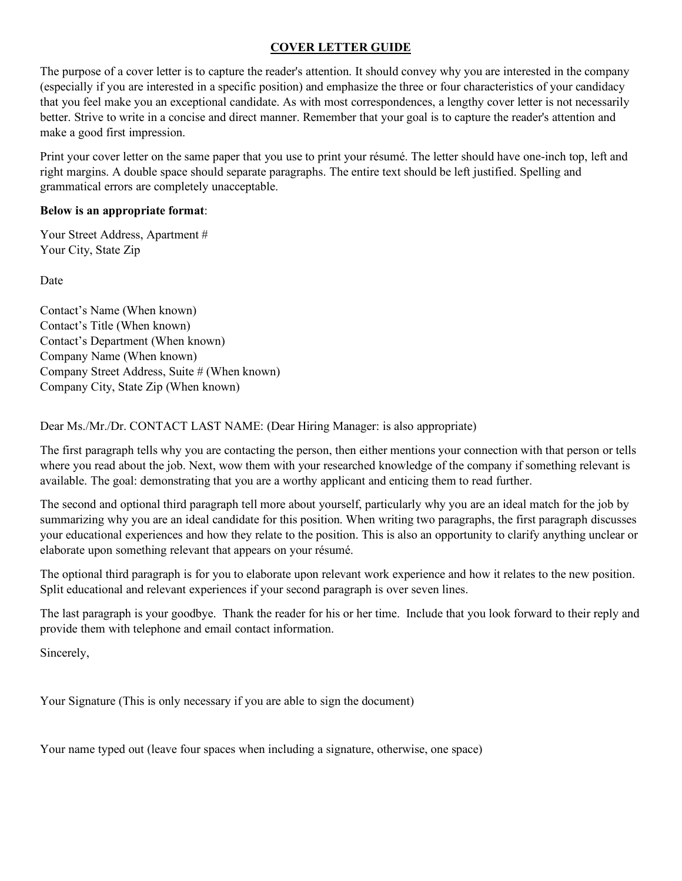# **COVER LETTER GUIDE**

The purpose of a cover letter is to capture the reader's attention. It should convey why you are interested in the company (especially if you are interested in a specific position) and emphasize the three or four characteristics of your candidacy that you feel make you an exceptional candidate. As with most correspondences, a lengthy cover letter is not necessarily better. Strive to write in a concise and direct manner. Remember that your goal is to capture the reader's attention and make a good first impression.

Print your cover letter on the same paper that you use to print your résumé. The letter should have one-inch top, left and right margins. A double space should separate paragraphs. The entire text should be left justified. Spelling and grammatical errors are completely unacceptable.

## **Below is an appropriate format**:

Your Street Address, Apartment # Your City, State Zip

Date

Contact's Name (When known) Contact's Title (When known) Contact's Department (When known) Company Name (When known) Company Street Address, Suite # (When known) Company City, State Zip (When known)

Dear Ms./Mr./Dr. CONTACT LAST NAME: (Dear Hiring Manager: is also appropriate)

The first paragraph tells why you are contacting the person, then either mentions your connection with that person or tells where you read about the job. Next, wow them with your researched knowledge of the company if something relevant is available. The goal: demonstrating that you are a worthy applicant and enticing them to read further.

The second and optional third paragraph tell more about yourself, particularly why you are an ideal match for the job by summarizing why you are an ideal candidate for this position. When writing two paragraphs, the first paragraph discusses your educational experiences and how they relate to the position. This is also an opportunity to clarify anything unclear or elaborate upon something relevant that appears on your résumé.

The optional third paragraph is for you to elaborate upon relevant work experience and how it relates to the new position. Split educational and relevant experiences if your second paragraph is over seven lines.

The last paragraph is your goodbye. Thank the reader for his or her time. Include that you look forward to their reply and provide them with telephone and email contact information.

Sincerely,

Your Signature (This is only necessary if you are able to sign the document)

Your name typed out (leave four spaces when including a signature, otherwise, one space)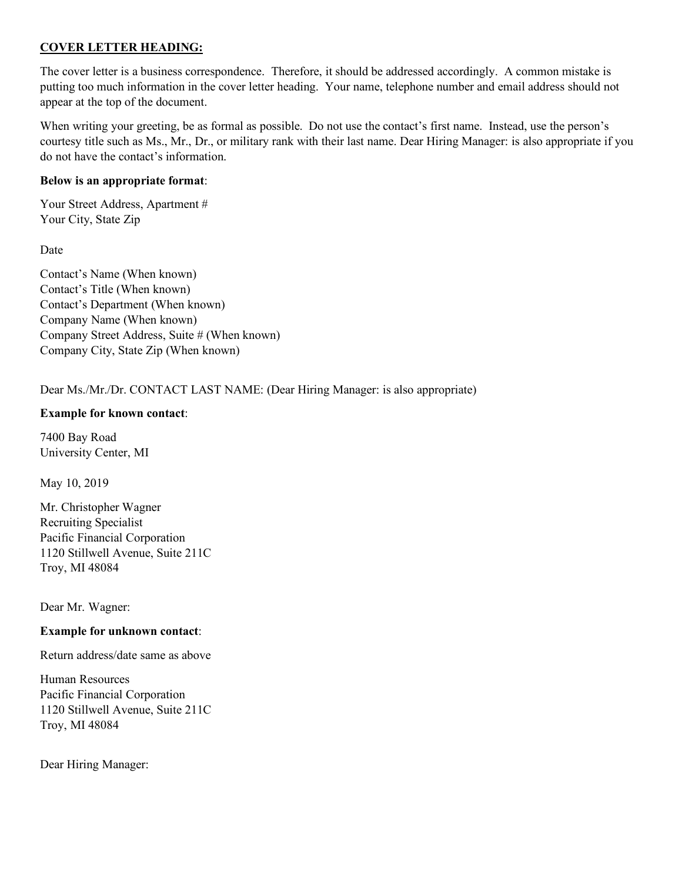# **COVER LETTER HEADING:**

The cover letter is a business correspondence. Therefore, it should be addressed accordingly. A common mistake is putting too much information in the cover letter heading. Your name, telephone number and email address should not appear at the top of the document.

When writing your greeting, be as formal as possible. Do not use the contact's first name. Instead, use the person's courtesy title such as Ms., Mr., Dr., or military rank with their last name. Dear Hiring Manager: is also appropriate if you do not have the contact's information.

## **Below is an appropriate format**:

Your Street Address, Apartment # Your City, State Zip

Date

Contact's Name (When known) Contact's Title (When known) Contact's Department (When known) Company Name (When known) Company Street Address, Suite # (When known) Company City, State Zip (When known)

# Dear Ms./Mr./Dr. CONTACT LAST NAME: (Dear Hiring Manager: is also appropriate)

## **Example for known contact**:

7400 Bay Road University Center, MI

May 10, 2019

Mr. Christopher Wagner Recruiting Specialist Pacific Financial Corporation 1120 Stillwell Avenue, Suite 211C Troy, MI 48084

Dear Mr. Wagner:

#### **Example for unknown contact**:

Return address/date same as above

Human Resources Pacific Financial Corporation 1120 Stillwell Avenue, Suite 211C Troy, MI 48084

Dear Hiring Manager: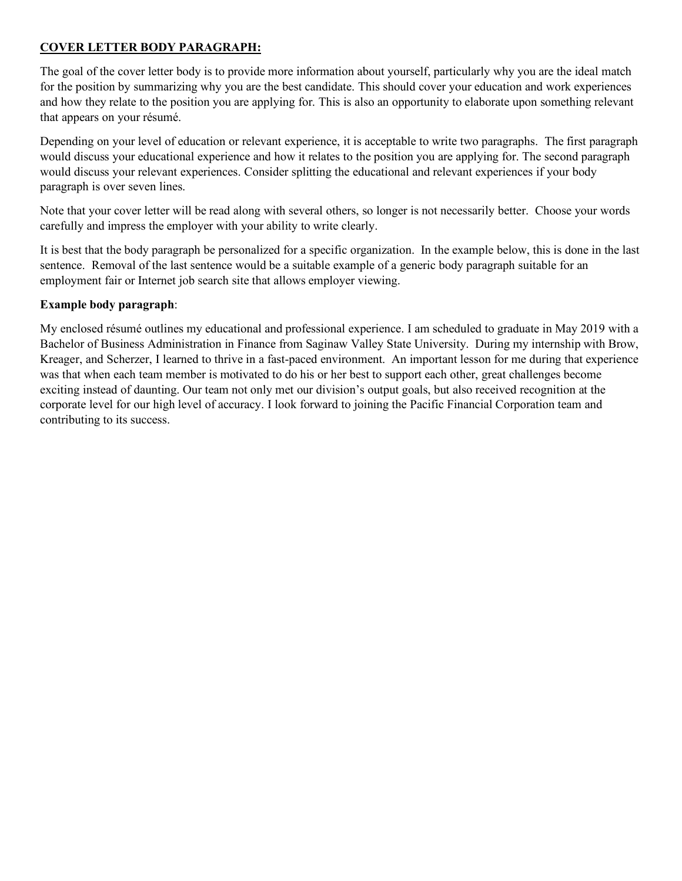# **COVER LETTER BODY PARAGRAPH:**

The goal of the cover letter body is to provide more information about yourself, particularly why you are the ideal match for the position by summarizing why you are the best candidate. This should cover your education and work experiences and how they relate to the position you are applying for. This is also an opportunity to elaborate upon something relevant that appears on your résumé.

Depending on your level of education or relevant experience, it is acceptable to write two paragraphs. The first paragraph would discuss your educational experience and how it relates to the position you are applying for. The second paragraph would discuss your relevant experiences. Consider splitting the educational and relevant experiences if your body paragraph is over seven lines.

Note that your cover letter will be read along with several others, so longer is not necessarily better. Choose your words carefully and impress the employer with your ability to write clearly.

It is best that the body paragraph be personalized for a specific organization. In the example below, this is done in the last sentence. Removal of the last sentence would be a suitable example of a generic body paragraph suitable for an employment fair or Internet job search site that allows employer viewing.

## **Example body paragraph**:

My enclosed résumé outlines my educational and professional experience. I am scheduled to graduate in May 2019 with a Bachelor of Business Administration in Finance from Saginaw Valley State University. During my internship with Brow, Kreager, and Scherzer, I learned to thrive in a fast-paced environment. An important lesson for me during that experience was that when each team member is motivated to do his or her best to support each other, great challenges become exciting instead of daunting. Our team not only met our division's output goals, but also received recognition at the corporate level for our high level of accuracy. I look forward to joining the Pacific Financial Corporation team and contributing to its success.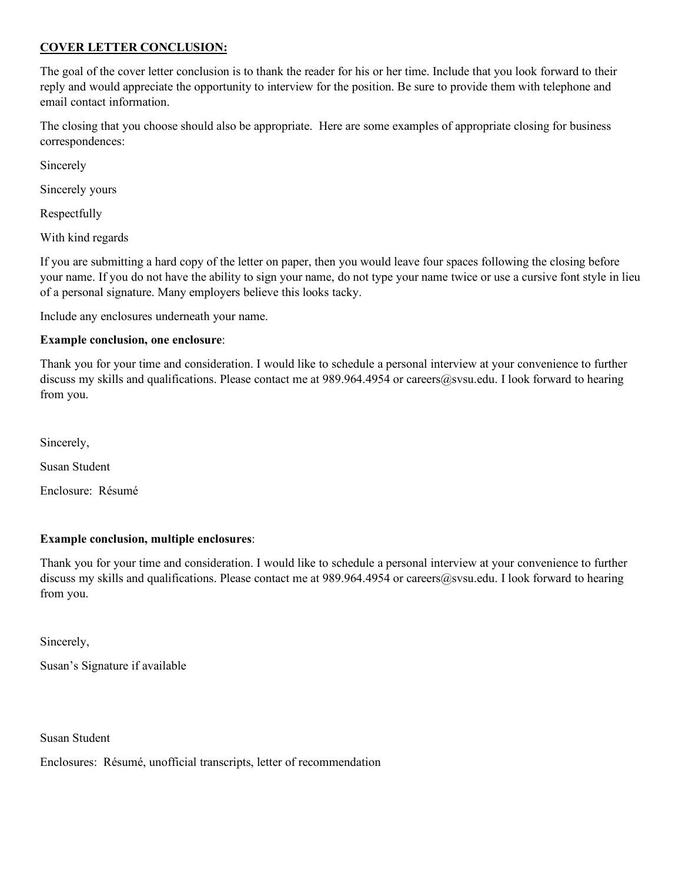# **COVER LETTER CONCLUSION:**

The goal of the cover letter conclusion is to thank the reader for his or her time. Include that you look forward to their reply and would appreciate the opportunity to interview for the position. Be sure to provide them with telephone and email contact information.

The closing that you choose should also be appropriate. Here are some examples of appropriate closing for business correspondences:

Sincerely

Sincerely yours

Respectfully

With kind regards

If you are submitting a hard copy of the letter on paper, then you would leave four spaces following the closing before your name. If you do not have the ability to sign your name, do not type your name twice or use a cursive font style in lieu of a personal signature. Many employers believe this looks tacky.

Include any enclosures underneath your name.

## **Example conclusion, one enclosure**:

Thank you for your time and consideration. I would like to schedule a personal interview at your convenience to further discuss my skills and qualifications. Please contact me at 989.964.4954 or careers@svsu.edu. I look forward to hearing from you.

Sincerely,

Susan Student

Enclosure: Résumé

# **Example conclusion, multiple enclosures**:

Thank you for your time and consideration. I would like to schedule a personal interview at your convenience to further discuss my skills and qualifications. Please contact me at 989.964.4954 or careers@svsu.edu. I look forward to hearing from you.

Sincerely,

Susan's Signature if available

Susan Student

Enclosures: Résumé, unofficial transcripts, letter of recommendation